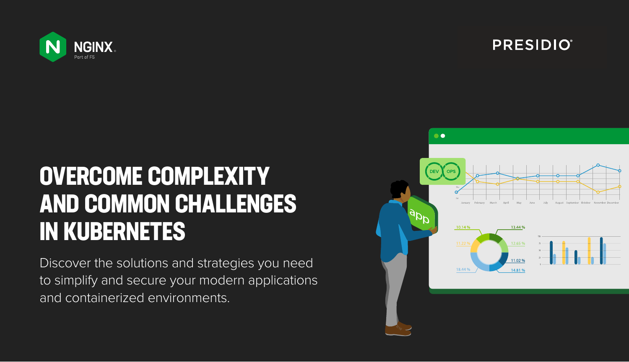

# **OVERCOME COMPLEXITY AND COMMON CHALLENGES IN KUBERNETES**

Discover the solutions and strategies you need to simplify and secure your modern applications and containerized environments.



## **PRESIDIO**®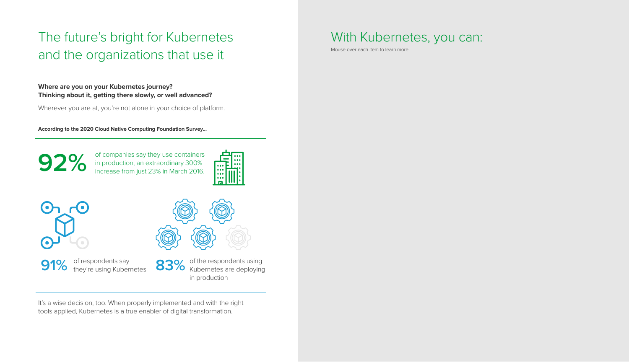#### **Where are you on your Kubernetes journey? Thinking about it, getting there slowly, or well advanced?**

Wherever you are at, you're not alone in your choice of platform.

It's a wise decision, too. When properly implemented and with the right tools applied, Kubernetes is a true enabler of digital transformation.

91% of respondents say<br>
they're using Kubernetes<br>
83% they're using Kubernetes

83% of the respondents using Kubernetes are deploying in production

**According to the 2020 Cloud Native Computing Foundation Survey...** 

## The future's bright for Kubernetes and the organizations that use it

of companies say they use containers in production, an extraordinary 300% increase from just 23% in March 2016.





**92%**

### With Kubernetes, you can:

Mouse over each item to learn more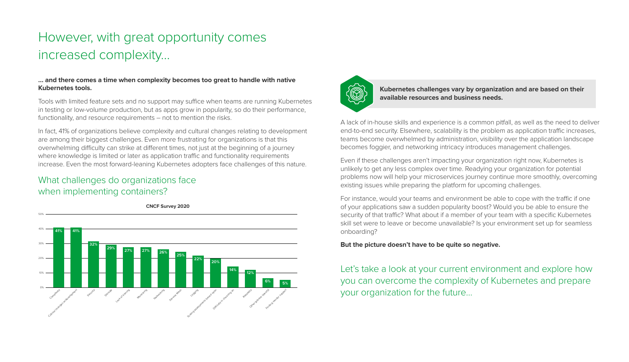#### **… and there comes a time when complexity becomes too great to handle with native Kubernetes tools.**

Tools with limited feature sets and no support may suffice when teams are running Kubernetes in testing or low-volume production, but as apps grow in popularity, so do their performance, functionality, and resource requirements – not to mention the risks.

In fact, 41% of organizations believe complexity and cultural changes relating to development are among their biggest challenges. Even more frustrating for organizations is that this overwhelming difficulty can strike at different times, not just at the beginning of a journey where knowledge is limited or later as application traffic and functionality requirements increase. Even the most forward-leaning Kubernetes adopters face challenges of this nature.

### What challenges do organizations face when implementing containers?

## However, with great opportunity comes increased complexity…

For instance, would your teams and environment be able to cope with the traffic if one of your applications saw a sudden popularity boost? Would you be able to ensure the security of that traffic? What about if a member of your team with a specific Kubernetes skill set were to leave or become unavailable? Is your environment set up for seamless onboarding?

A lack of in-house skills and experience is a common pitfall, as well as the need to deliver end-to-end security. Elsewhere, scalability is the problem as application traffic increases, teams become overwhelmed by administration, visibility over the application landscape becomes foggier, and networking intricacy introduces management challenges.

Even if these challenges aren't impacting your organization right now, Kubernetes is unlikely to get any less complex over time. Readying your organization for potential problems now will help your microservices journey continue more smoothly, overcoming existing issues while preparing the platform for upcoming challenges.

#### **But the picture doesn't have to be quite so negative.**

Let's take a look at your current environment and explore how you can overcome the complexity of Kubernetes and prepare your organization for the future…

#### **Kubernetes challenges vary by organization and are based on their available resources and business needs.**



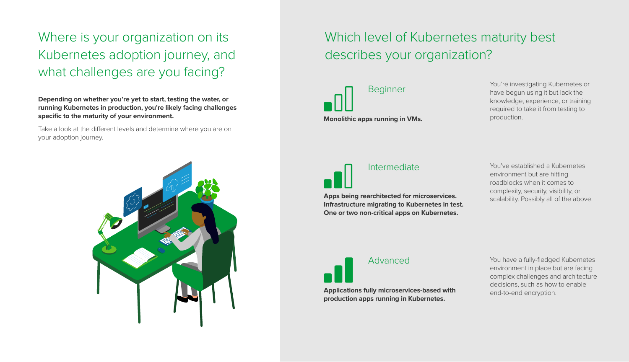Where is your organization on its Kubernetes adoption journey, and what challenges are you facing?

# Which level of Kubernetes maturity best



Take a look at the different levels and determine where you are on your adoption journey.



**Depending on whether you're yet to start, testing the water, or running Kubernetes in production, you're likely facing challenges specific to the maturity of your environment.**

> Advanced You have a fully-fledged Kubernetes environment in place but are facing complex challenges and architecture decisions, such as how to enable end-to-end encryption.

**Applications fully microservices-based with production apps running in Kubernetes.**

Intermediate Theory of The You've established a Kubernetes environment but are hitting roadblocks when it comes to complexity, security, visibility, or scalability. Possibly all of the above.

**Apps being rearchitected for microservices. Infrastructure migrating to Kubernetes in test. One or two non-critical apps on Kubernetes.** 

Beginner **Monolithic apps running in VMs.** You're investigating Kubernetes or have begun using it but lack the knowledge, experience, or training required to take it from testing to production.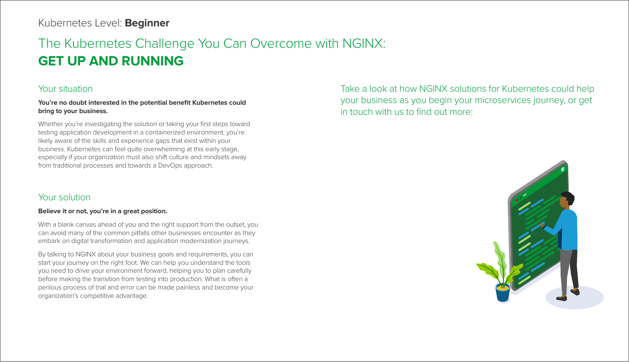## The Kubernetes Challenge You Can Overcome with NGINX: **GET UP AND RUNNING**

### Kubernetes Level: **Beginner**

#### Your situation

#### **You're no doubt interested in the potential benefit Kubernetes could bring to your business.**

Whether you're investigating the solution or taking your first steps toward testing application development in a containerized environment, you're likely aware of the skills and experience gaps that exist within your business. Kubernetes can feel quite overwhelming at this early stage, especially if your organization must also shift culture and mindsets away from traditional processes and towards a DevOps approach.

#### Your solution

#### **Believe it or not, you're in a great position.**

With a blank canvas ahead of you and the right support from the outset, you can avoid many of the common pitfalls other businesses encounter as they embark on digital transformation and application modernization journeys.

By talking to NGINX about your business goals and requirements, you can start your journey on the right foot. We can help you understand the tools you need to drive your environment forward, helping you to plan carefully before making the transition from testing into production. What is often a perilous process of trial and error can be made painless and become your organization's competitive advantage.

## Take a look at how NGINX solutions for Kubernetes could help your business as you begin your microservices journey, or get



in touch with us to find out more: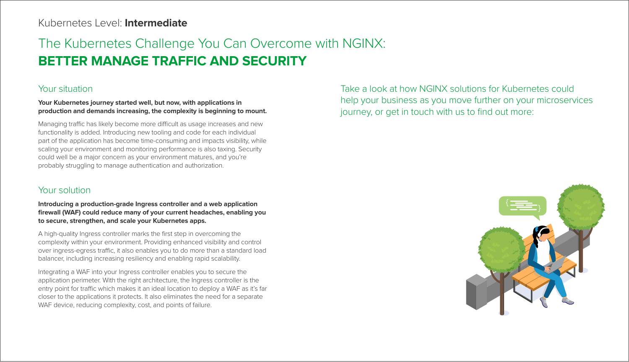## The Kubernetes Challenge You Can Overcome with NGINX: **BETTER MANAGE TRAFFIC AND SECURITY**

### Your situation

#### **Your Kubernetes journey started well, but now, with applications in production and demands increasing, the complexity is beginning to mount.**

Managing traffic has likely become more difficult as usage increases and new functionality is added. Introducing new tooling and code for each individual part of the application has become time-consuming and impacts visibility, while scaling your environment and monitoring performance is also taxing. Security could well be a major concern as your environment matures, and you're probably struggling to manage authentication and authorization.

### Your solution

#### **Introducing a production-grade Ingress controller and a web application firewall (WAF) could reduce many of your current headaches, enabling you to secure, strengthen, and scale your Kubernetes apps.**

A high-quality Ingress controller marks the first step in overcoming the complexity within your environment. Providing enhanced visibility and control over ingress-egress traffic, it also enables you to do more than a standard load balancer, including increasing resiliency and enabling rapid scalability.

Integrating a WAF into your Ingress controller enables you to secure the application perimeter. With the right architecture, the Ingress controller is the entry point for traffic which makes it an ideal location to deploy a WAF as it's far closer to the applications it protects. It also eliminates the need for a separate WAF device, reducing complexity, cost, and points of failure.

### Take a look at how NGINX solutions for Kubernetes could help your business as you move further on your microservices journey, or get in touch with us to find out more:



### Kubernetes Level: **Intermediate**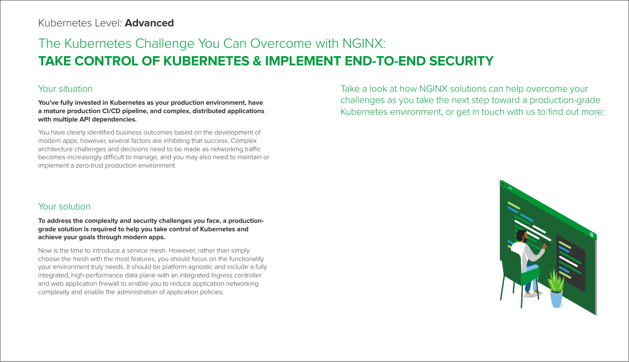## The Kubernetes Challenge You Can Overcome with NGINX: **TAKE CONTROL OF KUBERNETES & IMPLEMENT END-TO-END SECURITY**

#### Your situation

**You've fully invested in Kubernetes as your production environment, have a mature production CI/CD pipeline, and complex, distributed applications with multiple API dependencies.** 

You have clearly identified business outcomes based on the development of modern apps; however, several factors are inhibiting that success. Complex architecture challenges and decisions need to be made as networking traffic becomes increasingly difficult to manage, and you may also need to maintain or implement a zero-trust production environment.

#### Your solution

**To address the complexity and security challenges you face, a productiongrade solution is required to help you take control of Kubernetes and achieve your goals through modern apps.** 

Now is the time to introduce a service mesh. However, rather than simply choose the mesh with the most features, you should focus on the functionality your environment truly needs. It should be platform-agnostic and include a fully integrated, high-performance data plane with an integrated Ingress controller and web application firewall to enable you to reduce application networking complexity and enable the administration of application policies.



Take a look at how NGINX solutions can help overcome your challenges as you take the next step toward a production-grade Kubernetes environment, or get in touch with us to find out more:

### Kubernetes Level: **Advanced**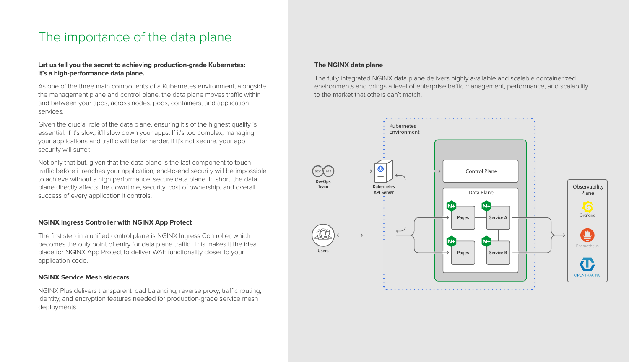### The importance of the data plane

#### **Let us tell you the secret to achieving production-grade Kubernetes: it's a high-performance data plane.**

Given the crucial role of the data plane, ensuring it's of the highest quality is essential. If it's slow, it'll slow down your apps. If it's too complex, managing your applications and traffic will be far harder. If it's not secure, your app security will suffer.

As one of the three main components of a Kubernetes environment, alongside the management plane and control plane, the data plane moves traffic within and between your apps, across nodes, pods, containers, and application services.

NGINX Plus delivers transparent load balancing, reverse proxy, traffic routing, identity, and encryption features needed for production-grade service mesh deployments.

Not only that but, given that the data plane is the last component to touch traffic before it reaches your application, end-to-end security will be impossible to achieve without a high performance, secure data plane. In short, the data plane directly affects the downtime, security, cost of ownership, and overall success of every application it controls.

#### **NGINX Ingress Controller with NGINX App Protect**

The first step in a unified control plane is NGINX Ingress Controller, which becomes the only point of entry for data plane traffic. This makes it the ideal place for NGINX App Protect to deliver WAF functionality closer to your application code.

#### **NGINX Service Mesh sidecars**

#### **The NGINX data plane**

The fully integrated NGINX data plane delivers highly available and scalable containerized environments and brings a level of enterprise traffic management, performance, and scalability to the market that others can't match.

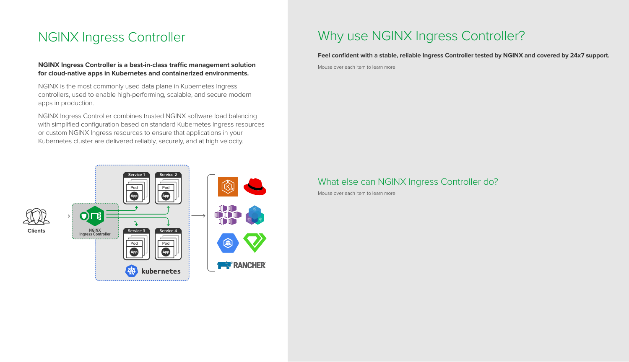Mouse over each item to learn more

Mouse over each item to learn more

**NGINX Ingress Controller is a best-in-class traffic management solution for cloud-native apps in Kubernetes and containerized environments.** 

NGINX is the most commonly used data plane in Kubernetes Ingress controllers, used to enable high-performing, scalable, and secure modern apps in production.

NGINX Ingress Controller combines trusted NGINX software load balancing with simplified configuration based on standard Kubernetes Ingress resources or custom NGINX Ingress resources to ensure that applications in your Kubernetes cluster are delivered reliably, securely, and at high velocity.

**Feel confident with a stable, reliable Ingress Controller tested by NGINX and covered by 24x7 support.**

#### What else can NGINX Ingress Controller do?



### NGINX Ingress Controller Why use NGINX Ingress Controller?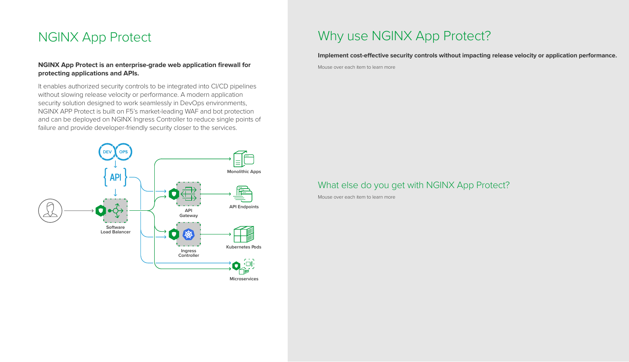Mouse over each item to learn more

Mouse over each item to learn more

Implement cost-effective security controls without impacting release velocity or application performance.

#### **NGINX App Protect is an enterprise-grade web application firewall for protecting applications and APIs.**

It enables authorized security controls to be integrated into CI/CD pipelines without slowing release velocity or performance. A modern application security solution designed to work seamlessly in DevOps environments, NGINX APP Protect is built on F5's market-leading WAF and bot protection and can be deployed on NGINX Ingress Controller to reduce single points of failure and provide developer-friendly security closer to the services.

#### What else do you get with NGINX App Protect?



### NGINX App Protect Why use NGINX App Protect?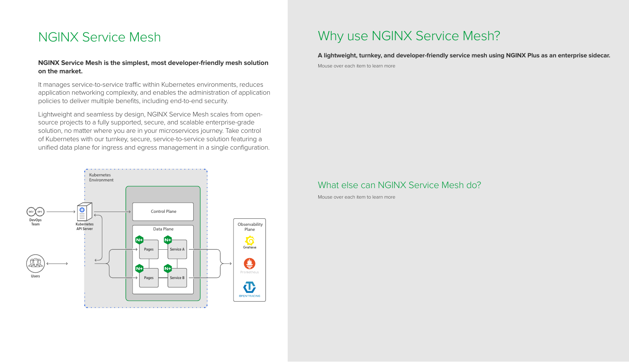### Why use NGINX Service Mesh?

Mouse over each item to learn more

Mouse over each item to learn more

**A lightweight, turnkey, and developer-friendly service mesh using NGINX Plus as an enterprise sidecar.** 

#### What else can NGINX Service Mesh do?

It manages service-to-service traffic within Kubernetes environments, reduces application networking complexity, and enables the administration of application policies to deliver multiple benefits, including end-to-end security.

#### **NGINX Service Mesh is the simplest, most developer-friendly mesh solution on the market.**

Lightweight and seamless by design, NGINX Service Mesh scales from opensource projects to a fully supported, secure, and scalable enterprise-grade solution, no matter where you are in your microservices journey. Take control of Kubernetes with our turnkey, secure, service-to-service solution featuring a unified data plane for ingress and egress management in a single configuration.

### NGINX Service Mesh

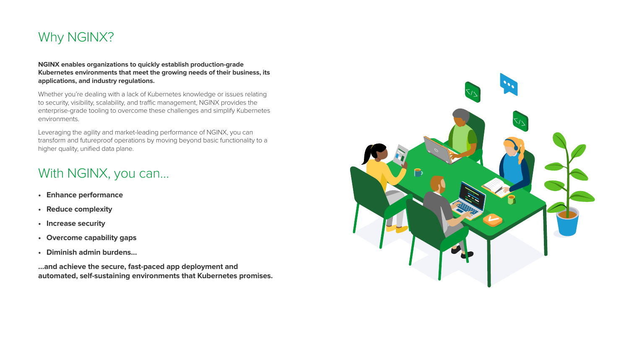

### With NGINX, you can…

**NGINX enables organizations to quickly establish production-grade Kubernetes environments that meet the growing needs of their business, its applications, and industry regulations.** 

Whether you're dealing with a lack of Kubernetes knowledge or issues relating to security, visibility, scalability, and traffic management, NGINX provides the enterprise-grade tooling to overcome these challenges and simplify Kubernetes environments.

Leveraging the agility and market-leading performance of NGINX, you can transform and futureproof operations by moving beyond basic functionality to a higher quality, unified data plane.

- **• Enhance performance**
- **• Reduce complexity**
- **• Increase security**
- **• Overcome capability gaps**
- **• Diminish admin burdens…**

**…and achieve the secure, fast-paced app deployment and automated, self-sustaining environments that Kubernetes promises.**